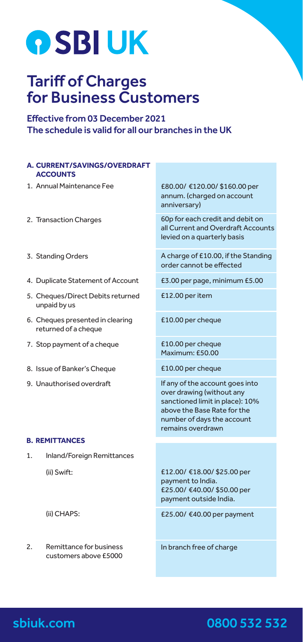# **OSBIUK**

## Tariff of Charges for Business Customers

Effective from 03 December 2021 The schedule is valid for all our branches in the UK

#### **A. CURRENT/SAVINGS/OVERDRAFT ACCOUNTS**

- 1. Annual Maintenance Fee
- 2. Transaction Charges
- 3. Standing Orders
- 4. Duplicate Statement of Account
- 5. Cheques/Direct Debits returned unpaid by us
- 6. Cheques presented in clearing returned of a cheque
- 7. Stop payment of a cheque
- 8. Issue of Banker's Cheque
- 9. Unauthorised overdraft

£80.00/ €120.00/ \$160.00 per annum. (charged on account anniversary)

60p for each credit and debit on all Current and Overdraft Accounts levied on a quarterly basis

A charge of £10.00, if the Standing order cannot be effected

£3.00 per page, minimum £5.00

£12.00 per item

£10.00 per cheque

£10.00 per cheque Maximum: £50.00

£10.00 per cheque

If any of the account goes into over drawing (without any sanctioned limit in place): 10% above the Base Rate for the number of days the account remains overdrawn

#### **B. REMITTANCES**

1. Inland/Foreign Remittances (ii) Swift:

£12.00/ €18.00/ \$25.00 per payment to India. £25.00/ €40.00/ \$50.00 per payment outside India.

£25.00/ €40.00 per payment

(ii) CHAPS:

2. Remittance for business customers above £5000 In branch free of charge

### 0800 532 532

## sbiuk.com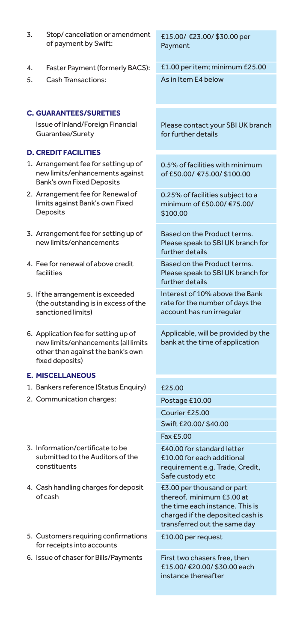- 3. Stop/ cancellation or amendment of payment by Swift:
- 4. Faster Payment (formerly BACS):
- 5. Cash Transactions:

#### **C. GUARANTEES/SURETIES**

Issue of Inland/Foreign Financial Guarantee/Surety

#### **D. CREDIT FACILITIES**

- 1. Arrangement fee for setting up of new limits/enhancements against Bank's own Fixed Deposits
- 2. Arrangement fee for Renewal of limits against Bank's own Fixed Deposits
- 3. Arrangement fee for setting up of new limits/enhancements
- 4. Fee for renewal of above credit facilities
- 5. If the arrangement is exceeded (the outstanding is in excess of the sanctioned limits)
- 6. Application fee for setting up of new limits/enhancements (all limits other than against the bank's own fixed deposits)

#### **E. MISCELLANEOUS**

- 1. Bankers reference (Status Enquiry)
- 2. Communication charges:
- 3. Information/certificate to be submitted to the Auditors of the constituents
- 4. Cash handling charges for deposit of cash
- 5. Customers requiring confirmations for receipts into accounts
- 6. Issue of chaser for Bills/Payments

£15.00/ €23.00/ \$30.00 per Payment

£1.00 per item; minimum £25.00 As in Item E4 below

Please contact your SBI UK branch for further details

0.5% of facilities with minimum of £50.00/ €75.00/ \$100.00

0.25% of facilities subject to a minimum of £50.00/ €75.00/ \$100.00

Based on the Product terms. Please speak to SBI UK branch for further details

Based on the Product terms. Please speak to SBI UK branch for further details

Interest of 10% above the Bank rate for the number of days the account has run irregular

Applicable, will be provided by the bank at the time of application

#### £25.00

Postage £10.00

Courier £25.00

Swift £20.00/ \$40.00

Fax £5.00

£40.00 for standard letter £10.00 for each additional requirement e.g. Trade, Credit, Safe custody etc

£3.00 per thousand or part thereof, minimum £3.00 at the time each instance. This is charged if the deposited cash is transferred out the same day

£10.00 per request

First two chasers free, then £15.00/ €20.00/ \$30.00 each instance thereafter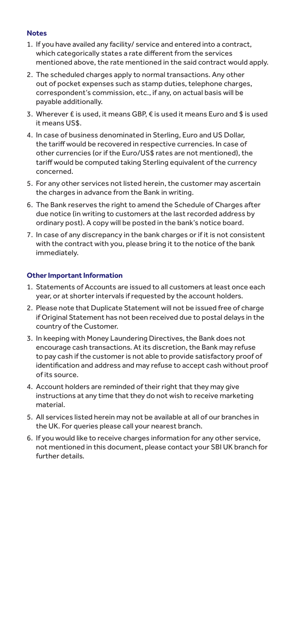#### **Notes**

- 1. If you have availed any facility/ service and entered into a contract, which categorically states a rate different from the services mentioned above, the rate mentioned in the said contract would apply.
- 2. The scheduled charges apply to normal transactions. Any other out of pocket expenses such as stamp duties, telephone charges, correspondent's commission, etc., if any, on actual basis will be payable additionally.
- 3. Wherever £ is used, it means GBP, € is used it means Euro and \$ is used it means US\$.
- 4. In case of business denominated in Sterling, Euro and US Dollar, the tariff would be recovered in respective currencies. In case of other currencies (or if the Euro/US\$ rates are not mentioned), the tariff would be computed taking Sterling equivalent of the currency concerned.
- 5. For any other services not listed herein, the customer may ascertain the charges in advance from the Bank in writing.
- 6. The Bank reserves the right to amend the Schedule of Charges after due notice (in writing to customers at the last recorded address by ordinary post). A copy will be posted in the bank's notice board.
- 7. In case of any discrepancy in the bank charges or if it is not consistent with the contract with you, please bring it to the notice of the bank immediately.

#### **Other Important Information**

- 1. Statements of Accounts are issued to all customers at least once each year, or at shorter intervals if requested by the account holders.
- 2. Please note that Duplicate Statement will not be issued free of charge if Original Statement has not been received due to postal delays in the country of the Customer.
- 3. In keeping with Money Laundering Directives, the Bank does not encourage cash transactions. At its discretion, the Bank may refuse to pay cash if the customer is not able to provide satisfactory proof of identification and address and may refuse to accept cash without proof of its source.
- 4. Account holders are reminded of their right that they may give instructions at any time that they do not wish to receive marketing material.
- 5. All services listed herein may not be available at all of our branches in the UK. For queries please call your nearest branch.
- 6. If you would like to receive charges information for any other service, not mentioned in this document, please contact your SBI UK branch for further details.